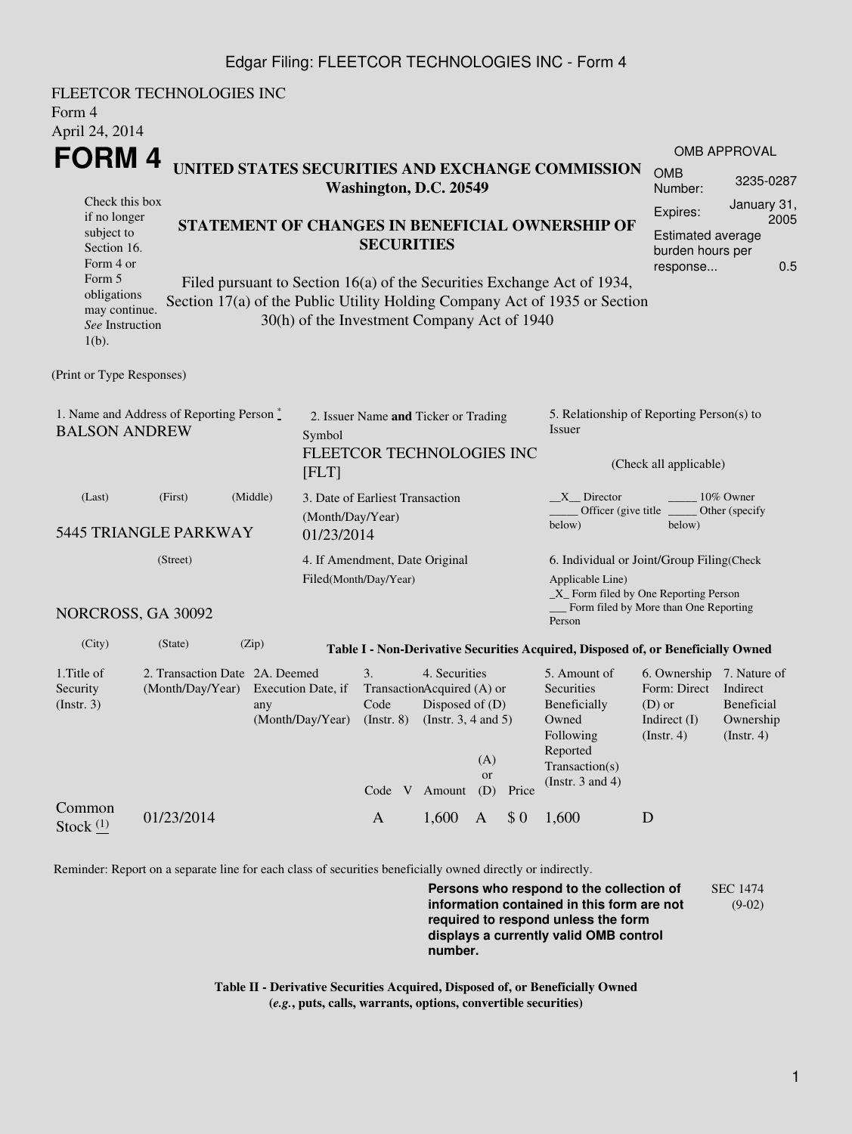## Edgar Filing: FLEETCOR TECHNOLOGIES INC - Form 4

| FLEETCOR TECHNOLOGIES INC<br>Form 4<br>April 24, 2014                                                                                                             |                                                                                                                                                                                                                                                                                                                                                            |                                                                                                                                                                                                                                                                                        |  |  |  |  |
|-------------------------------------------------------------------------------------------------------------------------------------------------------------------|------------------------------------------------------------------------------------------------------------------------------------------------------------------------------------------------------------------------------------------------------------------------------------------------------------------------------------------------------------|----------------------------------------------------------------------------------------------------------------------------------------------------------------------------------------------------------------------------------------------------------------------------------------|--|--|--|--|
| <b>FORM4</b><br>Check this box<br>if no longer<br>subject to<br>Section 16.<br>Form 4 or<br>Form 5<br>obligations<br>may continue.<br>See Instruction<br>$1(b)$ . | UNITED STATES SECURITIES AND EXCHANGE COMMISSION<br>Washington, D.C. 20549<br>STATEMENT OF CHANGES IN BENEFICIAL OWNERSHIP OF<br><b>SECURITIES</b><br>Filed pursuant to Section 16(a) of the Securities Exchange Act of 1934,<br>Section 17(a) of the Public Utility Holding Company Act of 1935 or Section<br>30(h) of the Investment Company Act of 1940 | OMB APPROVAL<br><b>OMB</b><br>3235-0287<br>Number:<br>January 31,<br>Expires:<br>2005<br><b>Estimated average</b><br>burden hours per<br>0.5<br>response                                                                                                                               |  |  |  |  |
| (Print or Type Responses)                                                                                                                                         |                                                                                                                                                                                                                                                                                                                                                            |                                                                                                                                                                                                                                                                                        |  |  |  |  |
| 1. Name and Address of Reporting Person $\stackrel{*}{\mathbb{L}}$<br><b>BALSON ANDREW</b>                                                                        | 2. Issuer Name and Ticker or Trading<br>Symbol<br>FLEETCOR TECHNOLOGIES INC<br>[FLT]                                                                                                                                                                                                                                                                       | 5. Relationship of Reporting Person(s) to<br>Issuer<br>(Check all applicable)                                                                                                                                                                                                          |  |  |  |  |
| (Middle)<br>(Last)<br>(First)<br>5445 TRIANGLE PARKWAY                                                                                                            | 3. Date of Earliest Transaction<br>(Month/Day/Year)<br>01/23/2014                                                                                                                                                                                                                                                                                          | X Director<br>10% Owner<br>Officer (give title)<br>Other (specify<br>below)<br>below)                                                                                                                                                                                                  |  |  |  |  |
| (Street)<br>NORCROSS, GA 30092                                                                                                                                    | 4. If Amendment, Date Original<br>Filed(Month/Day/Year)                                                                                                                                                                                                                                                                                                    | 6. Individual or Joint/Group Filing(Check<br>Applicable Line)<br>$\_X$ Form filed by One Reporting Person<br>Form filed by More than One Reporting<br>Person                                                                                                                           |  |  |  |  |
| (City)<br>(Zip)<br>(State)                                                                                                                                        |                                                                                                                                                                                                                                                                                                                                                            | Table I - Non-Derivative Securities Acquired, Disposed of, or Beneficially Owned                                                                                                                                                                                                       |  |  |  |  |
| 1. Title of<br>2. Transaction Date 2A, Deemed<br>Security<br>(Month/Day/Year) Execution Date, if<br>(Insert. 3)<br>any                                            | 3.<br>4. Securities<br>TransactionAcquired (A) or<br>Disposed of (D)<br>Code<br>(Month/Day/Year)<br>$($ Instr. 8 $)$<br>(Instr. $3, 4$ and $5$ )<br>(A)<br>or<br>(D)<br>Code V Amount<br>Price                                                                                                                                                             | 5. Amount of<br>6. Ownership 7. Nature of<br>Form: Direct<br>Indirect<br><b>Securities</b><br>Beneficially<br>Beneficial<br>$(D)$ or<br>Owned<br>Indirect (I)<br>Ownership<br>Following<br>$($ Instr. 4 $)$<br>$($ Instr. 4 $)$<br>Reported<br>Transaction(s)<br>(Instr. $3$ and $4$ ) |  |  |  |  |
| Common<br>01/23/2014<br>Stock $(1)$                                                                                                                               | 1,600<br>\$0<br>$\mathbf{A}$<br>$\mathbf{A}$                                                                                                                                                                                                                                                                                                               | 1,600<br>D                                                                                                                                                                                                                                                                             |  |  |  |  |

Reminder: Report on a separate line for each class of securities beneficially owned directly or indirectly.

**Persons who respond to the collection of information contained in this form are not required to respond unless the form displays a currently valid OMB control number.** SEC 1474 (9-02)

**Table II - Derivative Securities Acquired, Disposed of, or Beneficially Owned (***e.g.***, puts, calls, warrants, options, convertible securities)**